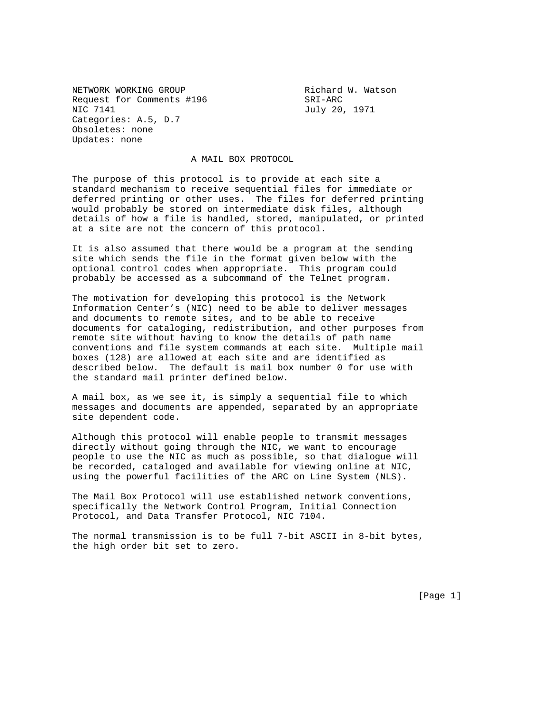NETWORK WORKING GROUP **Richard W. Watson** Request for Comments #196 SRI-ARC NIC 7141 July 20, 1971 Categories: A.5, D.7 Obsoletes: none Updates: none

## A MAIL BOX PROTOCOL

The purpose of this protocol is to provide at each site a standard mechanism to receive sequential files for immediate or deferred printing or other uses. The files for deferred printing would probably be stored on intermediate disk files, although details of how a file is handled, stored, manipulated, or printed at a site are not the concern of this protocol.

It is also assumed that there would be a program at the sending site which sends the file in the format given below with the optional control codes when appropriate. This program could probably be accessed as a subcommand of the Telnet program.

The motivation for developing this protocol is the Network Information Center's (NIC) need to be able to deliver messages and documents to remote sites, and to be able to receive documents for cataloging, redistribution, and other purposes from remote site without having to know the details of path name conventions and file system commands at each site. Multiple mail boxes (128) are allowed at each site and are identified as described below. The default is mail box number 0 for use with the standard mail printer defined below.

A mail box, as we see it, is simply a sequential file to which messages and documents are appended, separated by an appropriate site dependent code.

Although this protocol will enable people to transmit messages directly without going through the NIC, we want to encourage people to use the NIC as much as possible, so that dialogue will be recorded, cataloged and available for viewing online at NIC, using the powerful facilities of the ARC on Line System (NLS).

The Mail Box Protocol will use established network conventions, specifically the Network Control Program, Initial Connection Protocol, and Data Transfer Protocol, NIC 7104.

The normal transmission is to be full 7-bit ASCII in 8-bit bytes, the high order bit set to zero.

[Page 1]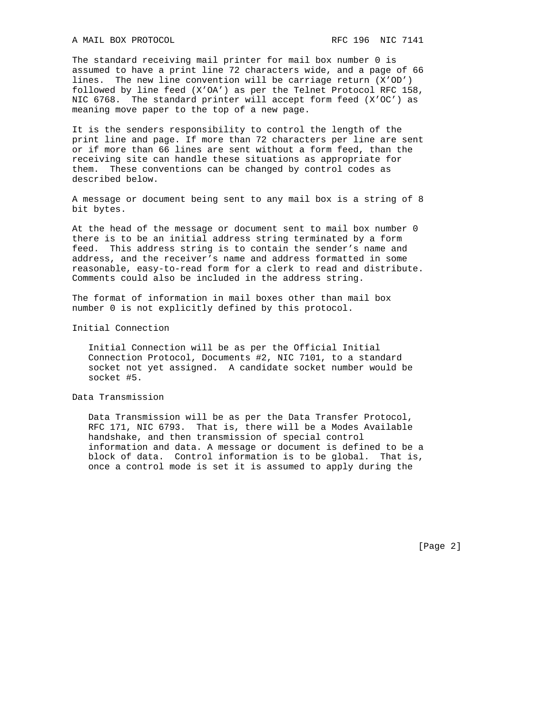The standard receiving mail printer for mail box number 0 is assumed to have a print line 72 characters wide, and a page of 66 lines. The new line convention will be carriage return (X'OD') followed by line feed (X'OA') as per the Telnet Protocol RFC 158, NIC 6768. The standard printer will accept form feed (X'OC') as meaning move paper to the top of a new page.

It is the senders responsibility to control the length of the print line and page. If more than 72 characters per line are sent or if more than 66 lines are sent without a form feed, than the receiving site can handle these situations as appropriate for them. These conventions can be changed by control codes as described below.

A message or document being sent to any mail box is a string of 8 bit bytes.

At the head of the message or document sent to mail box number 0 there is to be an initial address string terminated by a form feed. This address string is to contain the sender's name and address, and the receiver's name and address formatted in some reasonable, easy-to-read form for a clerk to read and distribute. Comments could also be included in the address string.

The format of information in mail boxes other than mail box number 0 is not explicitly defined by this protocol.

Initial Connection

 Initial Connection will be as per the Official Initial Connection Protocol, Documents #2, NIC 7101, to a standard socket not yet assigned. A candidate socket number would be socket #5.

Data Transmission

 Data Transmission will be as per the Data Transfer Protocol, RFC 171, NIC 6793. That is, there will be a Modes Available handshake, and then transmission of special control information and data. A message or document is defined to be a block of data. Control information is to be global. That is, once a control mode is set it is assumed to apply during the

[Page 2]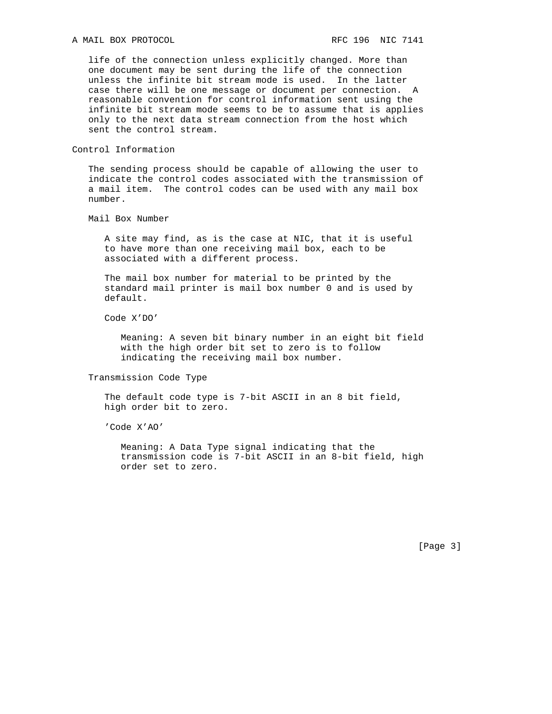## A MAIL BOX PROTOCOL **Example 2018** RFC 196 NIC 7141

 life of the connection unless explicitly changed. More than one document may be sent during the life of the connection unless the infinite bit stream mode is used. In the latter case there will be one message or document per connection. A reasonable convention for control information sent using the infinite bit stream mode seems to be to assume that is applies only to the next data stream connection from the host which sent the control stream.

## Control Information

 The sending process should be capable of allowing the user to indicate the control codes associated with the transmission of a mail item. The control codes can be used with any mail box number.

Mail Box Number

 A site may find, as is the case at NIC, that it is useful to have more than one receiving mail box, each to be associated with a different process.

 The mail box number for material to be printed by the standard mail printer is mail box number 0 and is used by default.

Code X'DO'

 Meaning: A seven bit binary number in an eight bit field with the high order bit set to zero is to follow indicating the receiving mail box number.

Transmission Code Type

 The default code type is 7-bit ASCII in an 8 bit field, high order bit to zero.

'Code X'AO'

 Meaning: A Data Type signal indicating that the transmission code is 7-bit ASCII in an 8-bit field, high order set to zero.

[Page 3]